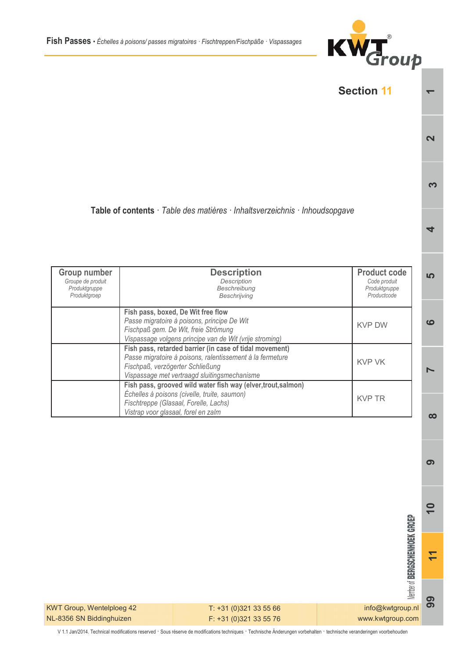



 $\sigma$  $\overline{\phantom{0}}$ 

 $\overline{1}$ 

*Member of BERGSCHENHOEK GROEP* 99 info@kwtgroup.nl www.kwtgroup.com

KWT Group, Wentelploeg 42 NL-8356 SN Biddinghuizen

T: +31 (0)321 33 55 66 F: +31 (0)321 33 55 76

V 1.1 Jan/2014. Technical modifications reserved · Sous réserve de modifications techniques · Technische Änderungen vorbehalten · technische veranderingen voorbehouden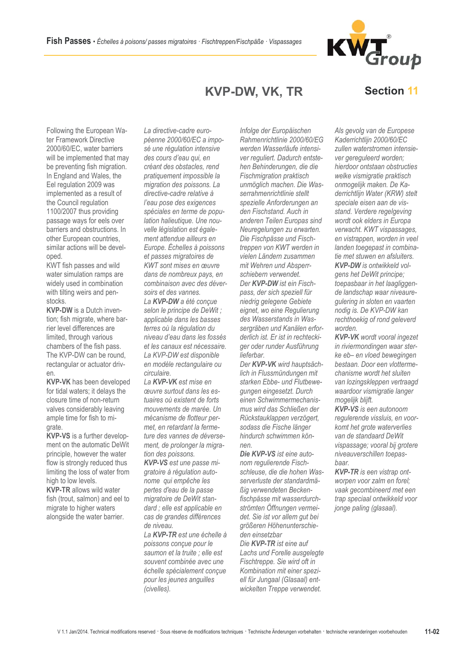La directive-cadre euro-

KVP-DW, VK, TR

Following the European Water Framework Directive 2000/60/EC, water barriers will be implemented that may be preventing fish migration. In England and Wales, the Eel regulation 2009 was implemented as a result of the Council regulation 1100/2007 thus providing passage ways for eels over barriers and obstructions. In other European countries. similar actions will be developed.

KWT fish passes and wild water simulation ramps are widely used in combination with tilting weirs and penstocks.

**KVP-DW** is a Dutch invention; fish migrate, where barrier level differences are limited, through various chambers of the fish pass. The KVP-DW can be round. rectangular or actuator driv $en$ 

**KVP-VK** has been developed for tidal waters: it delays the closure time of non-return valves considerably leaving ample time for fish to migrate.

**KVP-VS** is a further development on the automatic DeWit principle, however the water flow is strongly reduced thus limiting the loss of water from high to low levels.

**KVP-TR** allows wild water fish (trout, salmon) and eel to migrate to higher waters alongside the water barrier.

péenne 2000/60/EC a imposé une régulation intensive des cours d'eau qui, en créant des obstacles, rend pratiquement impossible la migration des poissons. La directive-cadre relative à l'eau pose des exigences spéciales en terme de population halieutique. Une nouvelle législation est également attendue ailleurs en Europe. Échelles à poissons et passes migratoires de KWT sont mises en œuvre dans de nombreux pays, en combinaison avec des déversoirs et des vannes.

La KVP-DW a été concue selon le principe de DeWit : applicable dans les basses terres où la régulation du niveau d'eau dans les fossés et les canaux est nécessaire. La KVP-DW est disponible en modèle rectangulaire ou circulaire.

La KVP-VK est mise en ceuvre surfout dans les estuaires où existent de forts mouvements de marée. Un mécanisme de flotteur permet, en retardant la fermeture des vannes de déversement, de prolonger la migration des poissons.

KVP-VS est une passe migratoire à régulation autonome qui empêche les pertes d'eau de la passe migratoire de DeWit standard : elle est applicable en cas de grandes différences de niveau.

La KVP-TR est une échelle à poissons conçue pour le saumon et la truite : elle est souvent combinée avec une échelle spécialement conçue pour les jeunes anguilles (civelles).

Infolge der Europäischen Rahmenrichtlinie 2000/60/EG werden Wasserläufe intensiver reguliert. Dadurch entstehen Behinderungen, die die Fischmigration praktisch unmöglich machen. Die Wasserrahmenrichtlinie stellt spezielle Anforderungen an den Fischstand. Auch in anderen Teilen Europas sind Neuregelungen zu erwarten. Die Fischpässe und Fischtreppen von KWT werden in vielen Ländern zusammen mit Wehren und Absperrschiebern verwendet.

Der KVP-DW ist ein Fischpass, der sich speziell für niedrig gelegene Gebiete eignet, wo eine Regulierung des Wasserstands in Wassergräben und Kanälen erforderlich ist. Er ist in rechteckiger oder runder Ausführung lieferbar.

Der KVP-VK wird hauptsächlich in Flussmündungen mit starken Ebbe- und Flutbewequngen eingesetzt. Durch einen Schwimmermechanismus wird das Schließen der Rückstauklappen verzögert. sodass die Fische länger hindurch schwimmen kön $n \in \mathbb{R}$ 

Die KVP-VS ist eine autonom regulierende Fischschleuse, die die hohen Wasserverluste der standardmäßig verwendeten Beckenfischpässe mit wasserdurchströmten Öffnungen vermeidet. Sie ist vor allem gut bei größeren Höhenunterschieden einsetzbar

Die KVP-TR ist eine auf Lachs und Forelle ausgelegte Fischtreppe. Sie wird oft in Kombination mit einer speziell für Jungaal (Glasaal) entwickelten Treppe verwendet.

Als gevolg van de Europese Kaderrichtlijn 2000/60/EC zullen waterstromen intensiever gereguleerd worden: hierdoor ontstaan obstructies welke vismigratie praktisch onmogelijk maken. De Kaderrichtlijn Water (KRW) stelt speciale eisen aan de visstand. Verdere regelgeving wordt ook elders in Europa verwacht. KWT vispassages, en vistrappen, worden in veel landen toegepast in combinatie met stuwen en afsluiters. **KVP-DW** is ontwikkeld volgens het DeWit principe: toepasbaar in het laagliggende landschap waar niveaurequlering in sloten en vaarten nodig is. De KVP-DW kan rechthoekig of rond geleverd

**KVP-VK** wordt vooral ingezet in riviermondingen waar sterke eb- en vloed bewegingen bestaan. Door een vlottermechanisme wordt het sluiten van lozingskleppen vertraagd waardoor vismigratie langer mogelijk blijft.

worden

**KVP-VS** is een autonoom regulerende vissluis, en voorkomt het grote waterverlies van de standaard DeWit vispassage; vooral bij grotere niveauverschillen toepasbaar.

**KVP-TR** is een vistrap ontworpen voor zalm en forel; vaak gecombineerd met een trap speciaal ontwikkeld voor jonge paling (glasaal).

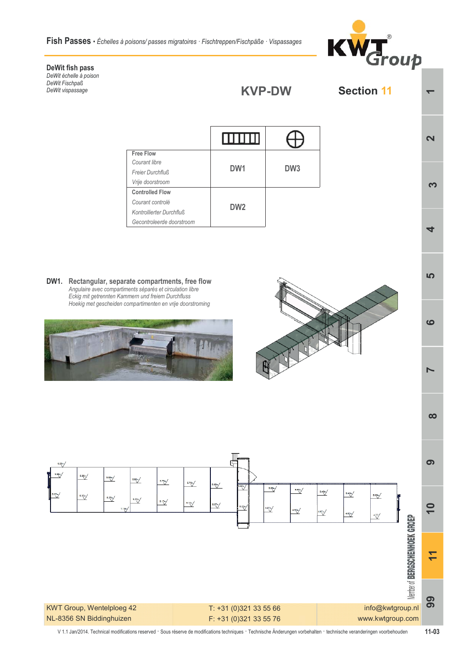Fish Passes · Échelles à poisons/ passes migratoires · Fischtreppen/Fischpäße · Vispassages



**Section 11** 

## **DeWit fish pass**

DeWit échelle à poison DeWit Fischpaß DeWit vispassage

|                           | <b>TITLET</b>   |                 |
|---------------------------|-----------------|-----------------|
| <b>Free Flow</b>          |                 |                 |
| Courant libre             |                 |                 |
| Freier Durchfluß          | DW <sub>1</sub> | DW <sub>3</sub> |
| Vrije doorstroom          |                 |                 |
| <b>Controlled Flow</b>    |                 |                 |
| Courant controlé          |                 |                 |
| Kontrollierter Durchfluß  | DW <sub>2</sub> |                 |
| Gecontroleerde doorstroom |                 |                 |

KVP-DW

**DW1.** Rectangular, separate compartments, free flow Angulaire avec compartiments séparés et circulation libre Eckig mit getrennten Kammern und freiem Durchfluss *>4:86<4C64B274834=2><?0AC8<4=C4=4=EA8943>>ABCA><8=6*







**1**<br> **1**<br> **1** 

**+** 

 $\overline{\mathbf{N}}$ 

Ю

ശ

L

 $\infty$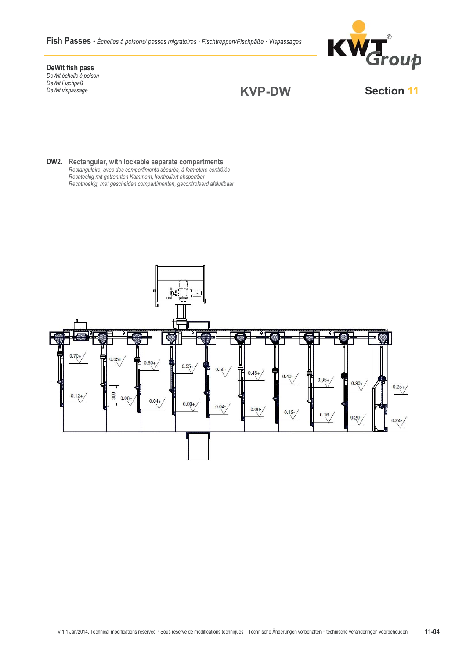Fish Passes · Échelles à poisons/ passes migratoires · Fischtreppen/Fischpäße · Vispassages



DeWit fish pass Devvit Han pass<br>DeWit échelle à poison<br>DeWit Fischpaß DeWit vispassage

## **KVP-DW**

**Section 11** 

DW2. Rectangular, with lockable separate compartments Rectangulaire, avec des compartiments séparés, à fermeture contrôlée<br>Rechteckig mit getrennten Kammern, kontrolliert absperrbar<br>Rechthoekig, met gescheiden compartimenten, gecontroleerd afsluitbaar

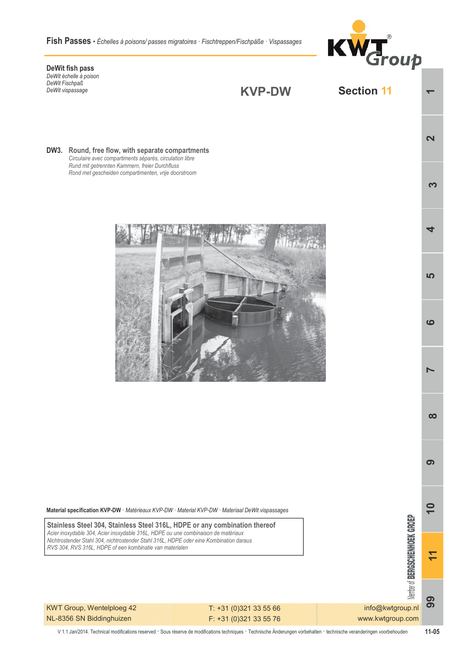Fish Passes · Échelles à poisons/passes migratoires · Fischtreppen/Fischpäße · Vispassages



 $\overline{\mathbf{N}}$ 

က

 $\overline{a}$ 

**LO** 

 $\mathbf{o}$ 

N

 $\infty$ 

 $\sigma$ 

 $\overline{\phantom{0}}$ 

 $\overline{1}$ 

**Section 11** 

DeWit fish pass DeWit échelle à poison DeWit Fischpaß DeWit vispassage

**KVP-DW** 

DW3. Round, free flow, with separate compartments Circulaire avec compartiments séparés, circulation libre Rund mit getrennten Kammern, freier Durchfluss Rond met gescheiden compartimenten, vrije doorstroom



Material specification KVP-DW · Matérieaux KVP-DW · Material KVP-DW · Materiaal DeWit vispassages

Stainless Steel 304, Stainless Steel 316L, HDPE or any combination thereof Acier inoxydable 304, Acier inoxydable 316L, HDPE ou une combinaison de matériaux Nichtrostender Stahl 304, nichtrostender Stahl 316L, HDPE oder eine Kombination daraus RVS 304, RVS 316L, HDPE of een kombinatie van materialen

KWT Group, Wentelploeg 42 NL-8356 SN Biddinghuizen

T: +31 (0)321 33 55 66 F: +31 (0)321 33 55 76

*<u><b>Remains of BERGSCHENHOEK GROEP</u>* info@kwtgroup.nl www.kwtgroup.com

V 1.1 Jan/2014. Technical modifications reserved · Sous réserve de modifications techniques · Technische Änderungen vorbehalten · technische veranderingen voorbehouden

 $11 - 05$ 

99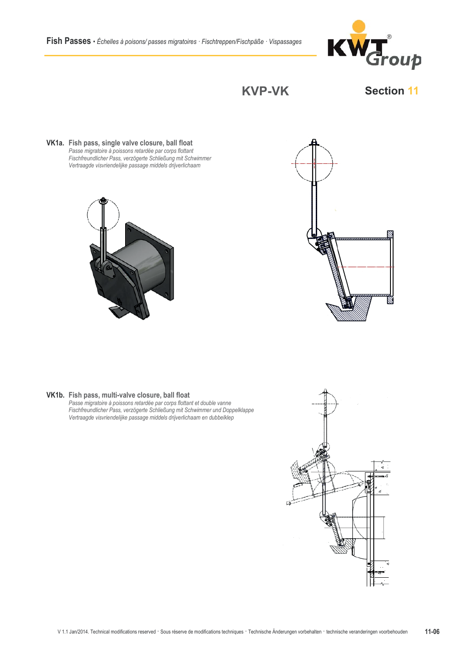

**KVP-VK** 

## **Section 11**

VK1a. Fish pass, single valve closure, ball float Passe migratoire à poissons retardée par corps flottant<br>Passe migratoire à poissons retardée par corps flottant<br>Fischfreundlicher Pass, verzögerte Schließung mit Schwimmer Vertraagde visvriendelijke passage middels drijverlichaam





## VK1b. Fish pass, multi-valve closure, ball float

Fish pass, muni-varve closure; barribat<br>Passe migratoire à poissons retardée par corps flottant et double vanne<br>Fischfreundlicher Pass, verzögerte Schließung mit Schwimmer und Doppelklappe<br>Vertraagde visvriendelijke passag

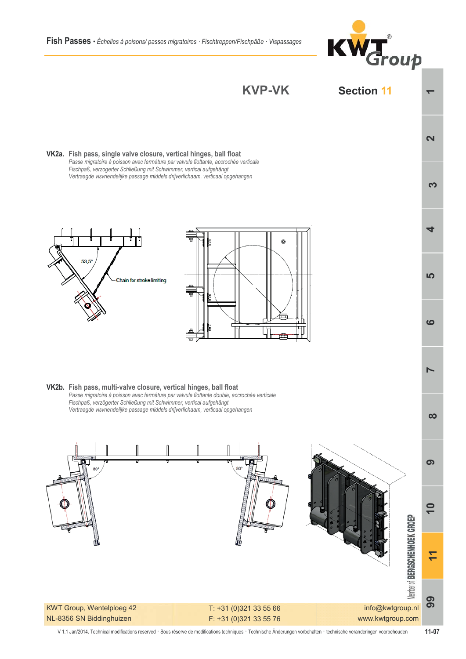





V 1.1 Jan/2014. Technical modifications reserved · Sous réserve de modifications techniques · Technische Änderungen vorbehalten · technische veranderingen voorbehouden  $11-07$